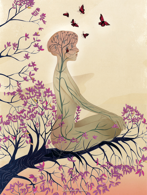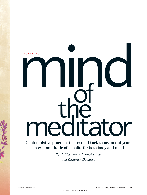# medıtator **of** MEUROSCIENCE the

Contemplative practices that extend back thousands of years show a multitude of benefits for both body and mind

> *By Matthieu Ricard, Antoine Lutz and Richard J. Davidson*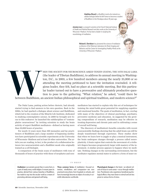**Matthieu Ricard** is a Buddhist monk who trained as a cellular biologist before he left France to become a student of Buddhism in the Himalayas about 40 years ago.

**Antoine Lutz** is a research scientist at the French National Institute of Health and Medical Research and also works at the University of Wisconsin–Madison. He has been a leader in studying the neurobiology of meditation.

> **Richard J. Davidson** has pioneered the science of meditation as director of the Waisman Laboratory for Brain Imaging and Behavior and the Center for Investigating Healthy Minds at the University of Wisconsin–Madison.



HEN THE SOCIETY FOR NEUROSCIENCE ASKED TENZIN GYATSO, THE 14TH DALAI LAMA (the leader of Tibetan Buddhism), to address its annual meeting in Washington, D.C., in 2005, a few hundred members among the nearly 35,000 or so at (the leader of Tibetan Buddhism), to address its annual meeting in Washington, D.C., in 2005, a few hundred members among the nearly 35,000 or so attending the meeting petitioned to have the invitation rescinded. A religious leader, they felt, had no place at a scientific meeting. But this particular leader turned out to have a provocative and ultimately productive question to pose to the gathering. "What relation," he asked, "could there be

between Buddhism, an ancient Indian philosophical and spiritual tradition, and modern science?"

The Dalai Lama, putting action before rhetoric, had already started trying to find answers to his own question. Back in the 1980s, he had sparked a dialogue about science and Buddhism, which led to the creation of the Mind & Life Institute, dedicated to studying contemplative science. In 2000 he brought new focus to this endeavor: he launched the subdiscipline of "contemplative neuroscience" by inviting scientists to study the brain activity of expert Buddhist meditators—defined as having more than 10,000 hours of practice.

For nearly 15 years more than 100 monastics and lay practitioners of Buddhism and a large number of beginning meditators have participated in scientific experiments at the University of Wisconsin–Madison and at least 19 other universities. The article you are reading, in fact, is the product of a collaboration between two neuroscientists and a Buddhist monk who originally trained as a cell biologist.

A comparison of the brain scans of meditators with tens of thousands of hours of practice with those of neophytes and non-

meditators has started to explain why this set of techniques for training the mind holds great potential for supplying cognitive and emotional benefits. The goals of meditation, in fact, overlap with many of the objectives of clinical psychology, psychiatry, preventive medicine and education. As suggested by the growing compendium of research, meditation may be effective in treating depression and chronic pain and in cultivating a sense of overall well-being.

The discovery of meditation's benefits coincides with recent neuroscientific findings showing that the adult brain can still be deeply transformed through experience. These studies show that when we learn how to juggle or play a musical instrument, the brain undergoes changes through a process called neuroplasticity. A brain region that controls the movement of a violinist's fingers becomes progressively larger with mastery of the instrument. A similar process appears to happen when we meditate. Nothing changes in the surrounding environment, but the meditator regulates mental states to achieve a form of inner en-

### **IN BRIEF**

**Meditation** is an ancient pursuit that, in some form, is a part of nearly every world religion. In recent years its practice, derived from various branches of Buddhism, has made its way into the secular world as a means of promoting calmness and general well-being.

**Three common forms** of meditation—focused attention, mindfulness and compassion—are now practiced everywhere, from hospitals to schools, and have increasingly become an object of scrutiny in scientific laboratories worldwide.

**Physiological changes** in the brain—an altered volume of tissue in some areas—occur through meditation. Practitioners also experience beneficial psychological effects: they react faster to stimuli and are less prone to various forms of stress.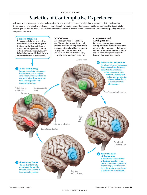# Varieties of Contemplative Experience

Advances in neuroimaging and other technologies have enabled scientists to gain insight into what happens in the brain during three major forms of Buddhist meditation—focused attention, mindfulness, and compassion and loving kindness. The diagram below offers a glimpse into the cycle of events that occurs in the practice of focused-attention meditation—and the corresponding activation of specific brain areas.

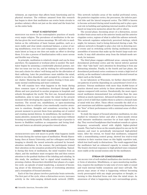richment, an experience that affects brain functioning and its physical structure. The evidence amassed from this research has begun to show that meditation can rewire brain circuits to produce salutary effects not just on the mind and the brain but on the entire body.

### **WHAT IS MEDITATION?**

Meditation has roots in the contemplative practices of nearly every major religion. The prevalence of meditation in the media has given the word various meanings. We will refer to meditation as the cultivation of basic human qualities, such as a more stable and clear mind, emotional balance, a sense of caring mindfulness, even love and compassion—qualities that remain latent as long as one does not make an effort to develop them. It is also a process of familiarization with a more serene and flexible way of being.

In principle, meditation is relatively simple and can be done anywhere. No equipment or workout attire is needed. The meditator begins by assuming a comfortable physical posture, neither too tense nor too lax, and by wishing for self-transformation and a desire for others' well-being and for the alleviation of their suffering. Later the practitioner must stabilize the mind, which is too often disorderly—and occupied by a stream of inner chatter. Mastering the mind requires freeing it from automatic mental conditioning and inner confusion.

We will examine here what happens in the brain during three common types of meditation developed through Buddhism and now practiced in secular programs in hospitals and schools throughout the world. The first one, focused-attention meditation, aims to tame and center the mind in the present moment while developing the capacity to remain vigilant to distractions. The second one, mindfulness, or open-monitoring meditation, tries to cultivate a less emotionally reactive awareness to emotions, thoughts and sensations occurring in the present moment to prevent them from spiraling out of control and creating mental distress. In mindfulness, the meditator remains attentive, moment by moment, to any experience without focusing on anything specific. Finally, another type of practice is known in Buddhist tradition as compassion and loving kindness and fosters an altruistic perspective toward others.

### **UNDER THE SCANNER**

Neuroscientists have now begun to probe what happens inside the brain during the various types of meditation. Wendy Hasenkamp, then at Emory University, and her colleagues used brain imaging to identify the neural networks activated by focusedattention meditation. In the scanner, the participants trained their attention on the sensation produced by breathing. Typically during this form of meditation, the mind wanders from an object, and the meditator must recognize this and then restore attention to the gradual rhythm of the inhaling and exhaling. In this study, the meditator had to signal mind wandering by pressing a button. Researchers identified four phases of a cognitive cycle: an episode of mind wandering, a moment of becoming aware of the distraction, a phase of reorienting attention and a resumption of focused attention.

Each of the four phases involves particular brain networks. The first part of the cycle, when a distraction occurs, increases activity in the wide-ranging default-mode network (DMN). This network includes areas of the medial prefrontal cortex, the posterior cingulate cortex, the precuneus, the inferior parietal lobe and the lateral temporal cortex. The DMN is known to become activated during mind wandering and to play a general role in building and updating internal models of the world based on long-term memories about the self or others.

The second phase, becoming aware of a distraction, occurs in other brain areas such as the anterior insula and the anterior cingulate cortex, regions of what is called the salience network. This network regulates subjectively perceived feelings, which might, for instance, lead to being distracted during a task. The salience network is thought to play a key role in detecting novel events and in switching activity during meditation among assemblies of neurons that make up the brain's large-scale networks. It may shift attention away from the default-mode network, for instance.

The third phase engages additional areas—among them the dorsolateral prefrontal cortex and the lateral inferior parietal lobe—that "take back" one's attention by detaching it from any distracting stimulus. Finally, in the fourth and last phase, the dorsolateral prefrontal cortex continues to retain a high level of activity, as the meditator's attention remains directed toward an object such as the breath.

In our laboratory at Wisconsin, we further observed different patterns of activity depending on a practitioner's level of experience. Veteran meditators with more than 10,000 hours of practice showed more activity in these attention-related brain regions compared with novices. Paradoxically, the most experienced meditators demonstrated less activation than the ones without as much experience. Advanced meditators appear to acquire a level of skill that enables them to achieve a focused state of mind with less effort. These effects resemble the skill of expert musicians and athletes capable of immersing themselves in the "flow" of their performances with a minimal sense of effortful control.

To study the impact of focused-attention meditation, we also studied its volunteers before and after a three-month retreat with intensive meditation exercises for at least eight hours a day. They received headphones that broadcast sounds at a given frequency, occasionally mixed with slightly higher-pitched sounds. They had to focus on the sounds played in one ear for 10 minutes and react to periodically interspersed high-pitched tones. After the retreat, we found that meditators, compared with a nonmeditating control group, showed less trial-to-trial variation in their reaction times on this highly repetitive task, which lent itself easily to distractions. The result suggested that the meditators had an enhanced capacity to remain vigilant. The brain's electrical responses to high-pitched tones remained more stable at the second session only for the meditators.

### **STREAM OF CONSCIOUSNESS**

The second type of well-studied meditation also involves another form of attention. Mindfulness, or open-monitoring meditation, requires the meditator to take note of every sight or sound and track internal bodily sensations and inner self-talk. The person stays aware of what is happening without becoming overly preoccupied with any single perception or thought, returning to this detached focus each time the mind strays. As awareness of what is happening in one's surroundings grows,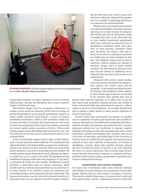

**INNER PATHWAYS** of brain activity register on an electroencephalogram as co-author Matthieu Ricard meditates.

normal daily irritants—an angry colleague at work, a worried child at home—become less disruptive, and a sense of psychological well-being develops.

With Heleen Slagter, then in our group at Wisconsin, we sought to learn about the influence of this form of training on mental functioning by measuring the participants' capacity to detect rapidly presented visual stimuli—a means to measure mindfulness meditation, which is also sometimes called nonreactive awareness. To perform this experiment, we used a task in which the participants had to detect two numbers presented on a screen rapidly, amid a succession of letters. If the second number appears about 300 milliseconds after the first one, subjects often do not see the second, a phenomenon known as attentional blink.

If the second number appears after a delay of 600 milliseconds, it can be detected without difficulty. The attentional blink reflects the limits of the brain's ability to process two stimuli presented to the observer at close intervals. When too much of the brain's attention is devoted to processing the first number, the second number cannot always be detected, although the observer usually can see it on some of the trials. We hypothesized that mindfulness training could reduce the propensity to "get stuck," or absorbed by seeing the first number. Mindfulness practice cultivates a nonreactive form of sensory awareness, which should result in a reduced attentional blink. As we predicted, after three months of an intensive retreat, the meditators perceived both numbers more frequently than the controls did. This improved perception was also reflected in lessened activity of a particular brain wave in response to the first number. Monitor-

ing the P3b brain wave, used to assess how attention is allocated, indicated that meditators were capable of optimizing attention so as to minimize the attentional blink.

Staying aware of an unpleasant sensation can reduce maladaptive emotional responses and help one to move beyond the disagreeable feeling and may be particularly useful in dealing with pain. In our Wisconsin lab, we have studied experienced practitioners while they performed an advanced form of mindfulness meditation called open presence. In open presence, sometimes called pure awareness, the mind is calm and relaxed, not focused on anything in particular yet vividly clear, free from excitation or dullness. The meditator observes and is open to experience without making any attempt to interpret, change, reject or ignore painful sensation. We found that the intensity of the pain was not reduced in meditators, but it bothered them less than it did members of a control group.

Compared with novices, expert meditators' brain activity diminished in anxiety-related regions—the insular cortex and the amygdala—in the period preceding the painful stimulus. The meditators' brain response in pain-related regions became accustomed to the stimulus more quickly than that of

novices after repeated exposures to it. Other tests in our lab have shown that meditation training increases one's ability to better control and buffer basic physiological responses—inflammation or levels of a stress hormone—to a socially stressful task such as giving a public speech or doing mental arithmetic in front of a harsh jury.

Several studies have documented the benefits of mindfulness on symptoms of anxiety and depression and its ability to improve sleep patterns. By deliberately monitoring and observing their thoughts and emotions when they feel sad or worried, depressed patients can use meditation to manage negative thoughts and feelings as they arise spontaneously and so lessen rumination. Clinical psychologists John Teasdale, then at the University of Cambridge, and Zindel Segal of the University of Toronto showed in 2000 that for patients who had previously suffered at least three episodes of depression, six months of mindfulness practice, along with cognitive therapy, reduced the risk of relapse by nearly 40 percent in the year following the onset of a severe depression. More recently, Segal demonstrated that the intervention is superior to a placebo and has a protective effect against relapse comparable to standard maintenance antidepressant therapy.

### **COMPASSION AND LOVING KINDNESS**

THE THIRD FORM of meditation under study cultivates attitudes and feelings of loving kindness and compassion toward other people, whether they are close relatives, strangers or enemies. This practice entails being aware of someone else's needs and then experiencing a sincere, compassionate desire to help that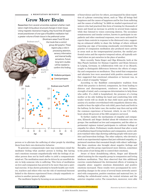**A MEDITATION BENEFIT**

## Grow More Brain

Researchers from several universities explored whether meditation might bring about structural changes in brain tissue. Using magnetic resonance imaging, they found that 20 experienced practitioners of one type of Buddhist meditation had a greater volume of brain tissue in the prefrontal cortex



person or to alleviate the suffering of other people by shielding them from their own destructive behavior.

To generate a compassionate state may sometimes entail the meditator feeling what another person is feeling. But having one's emotions resonate empathetically with the feelings of another person does not by itself suffice to yield a compassionate mind-set. The meditation must also be driven by an unselfish desire to help someone who is suffering. This form of meditation on love and compassion has proved to be more than just a spiritual exercise. It has shown potential to benefit health care workers, teachers and others who run the risk of emotional burnout linked to the distress experienced from a deeply empathetic reaction to another person's plight.

The meditator begins by focusing on an unconditional feeling

of benevolence and love for others, accompanied by silent repetition of a phrase conveying intent, such as "May all beings find happiness and the causes of happiness and be free from suffering and the causes of suffering." In 2008 we studied experienced volunteers who had practiced this form of training for thousands of hours and found an increase in activity in several brain regions while they listened to voices conveying distress. The secondary somatosensory and insular cortices, known to participate in empathetic and other emotional responses, were more activated for experts than controls in response to the distressed voice, suggesting an enhanced ability to share the feelings of others without reporting any sign of becoming emotionally overwhelmed. The practice of compassion meditation also produced more activity in areas such as the temporoparietal junction, the medial prefrontal cortex and the superior temporal sulcus, all typically activated when we put ourselves in the place of another.

More recently, Tania Singer and Olga Klimecki, both at the Max Planck Institute for Human Cognitive and Brain Sciences in Leipzig, Germany, in collaboration with one of us (Ricard), sought to distinguish differences between the effects of empathy and compassion on meditators. They noted that compassion and altruistic love were associated with positive emotions, and they suggested that emotional exhaustion or burnout was, in fact, a kind of empathy "fatigue."

According to the Buddhist contemplative tradition from which this practice is derived, compassion, far from leading to distress and discouragement, reinforces an inner balance, strength of mind, and a courageous determination to help those who suffer. If a child is hospitalized, the presence of a loving mother at his side holding his hand and comforting him with tender words will no doubt do that child more good than the anxiety of a mother overwhelmed with empathetic distress who, unable to bear the sight of her sick child, paces back and forth in the hallway. In the latter case, the mother may then end up with the common experience of burnout, which, in one U.S. study, beset about 60 percent of the 600 caregivers surveyed.

To further explore the mechanisms of empathy and compassion, Klimecki and Singer divided about 60 volunteers into two groups. One meditated on love and compassion, and the other experimental regimen trained participants to cultivate feelings of empathy for others. Preliminary results showed that after a week of meditation-based loving kindness and compassion, novice subjects watched video clips showing suffering people with more positive and benevolent feelings. The other subjects, who devoted a week to an experimental regimen that just cultivated empathy, experienced emotions that resonated deeply with others' sufferings. But these emotions also brought about negative feelings and thoughts, and this group experienced more distress, sometimes to the point of not being able to control their emotions.

Aware of these destabilizing effects, Singer and Klimecki added training for the empathy group in compassion and loving kindness meditation. They then observed that this additional exercise counterbalanced the detrimental effects of training in empathy alone: negative emotions diminished, and positive emotions increased. These results were accompanied by corresponding changes in the areas of several brain networks associated with compassion, positive emotions and maternal love, including the orbitofrontal cortex, the ventral striatum and the anterior cingulate cortex. The researchers, moreover, were able